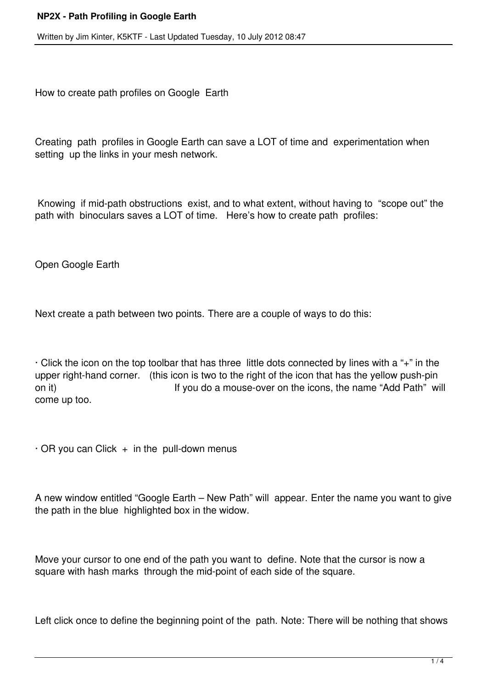## **NP2X - Path Profiling in Google Earth**

Written by Jim Kinter, K5KTF - Last Updated Tuesday, 10 July 2012 08:47

How to create path profiles on Google Earth

Creating path profiles in Google Earth can save a LOT of time and experimentation when setting up the links in your mesh network.

Knowing if mid-path obstructions exist, and to what extent, without having to "scope out" the path with binoculars saves a LOT of time. Here's how to create path profiles:

Open Google Earth

Next create a path between two points. There are a couple of ways to do this:

· Click the icon on the top toolbar that has three little dots connected by lines with a "+" in the upper right-hand corner. (this icon is two to the right of the icon that has the yellow push-pin on it) If you do a mouse-over on the icons, the name "Add Path" will come up too.

 $\cdot$  OR you can Click  $+$  in the pull-down menus

A new window entitled "Google Earth – New Path" will appear. Enter the name you want to give the path in the blue highlighted box in the widow.

Move your cursor to one end of the path you want to define. Note that the cursor is now a square with hash marks through the mid-point of each side of the square.

Left click once to define the beginning point of the path. Note: There will be nothing that shows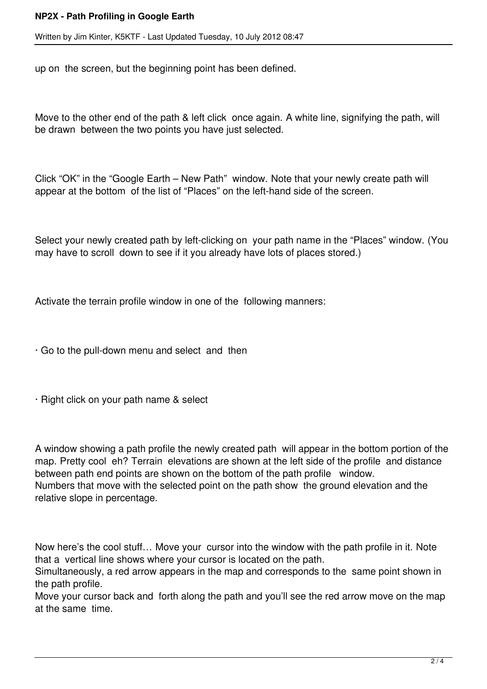## **NP2X - Path Profiling in Google Earth**

Written by Jim Kinter, K5KTF - Last Updated Tuesday, 10 July 2012 08:47

up on the screen, but the beginning point has been defined.

Move to the other end of the path & left click once again. A white line, signifying the path, will be drawn between the two points you have just selected.

Click "OK" in the "Google Earth – New Path" window. Note that your newly create path will appear at the bottom of the list of "Places" on the left-hand side of the screen.

Select your newly created path by left-clicking on your path name in the "Places" window. (You may have to scroll down to see if it you already have lots of places stored.)

Activate the terrain profile window in one of the following manners:

· Go to the pull-down menu and select and then

· Right click on your path name & select

A window showing a path profile the newly created path will appear in the bottom portion of the map. Pretty cool eh? Terrain elevations are shown at the left side of the profile and distance between path end points are shown on the bottom of the path profile window. Numbers that move with the selected point on the path show the ground elevation and the relative slope in percentage.

Now here's the cool stuff… Move your cursor into the window with the path profile in it. Note that a vertical line shows where your cursor is located on the path.

Simultaneously, a red arrow appears in the map and corresponds to the same point shown in the path profile.

Move your cursor back and forth along the path and you'll see the red arrow move on the map at the same time.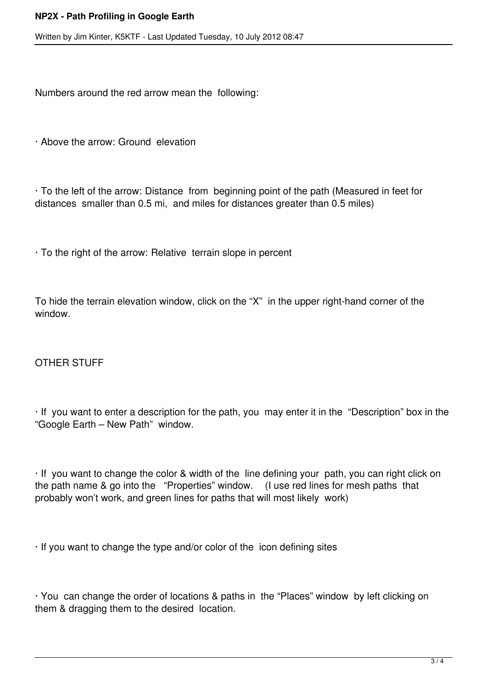Written by Jim Kinter, K5KTF - Last Updated Tuesday, 10 July 2012 08:47

Numbers around the red arrow mean the following:

· Above the arrow: Ground elevation

· To the left of the arrow: Distance from beginning point of the path (Measured in feet for distances smaller than 0.5 mi, and miles for distances greater than 0.5 miles)

· To the right of the arrow: Relative terrain slope in percent

To hide the terrain elevation window, click on the "X" in the upper right-hand corner of the window.

## OTHER STUFF

· If you want to enter a description for the path, you may enter it in the "Description" box in the "Google Earth – New Path" window.

· If you want to change the color & width of the line defining your path, you can right click on the path name & go into the "Properties" window. (I use red lines for mesh paths that probably won't work, and green lines for paths that will most likely work)

· If you want to change the type and/or color of the icon defining sites

· You can change the order of locations & paths in the "Places" window by left clicking on them & dragging them to the desired location.